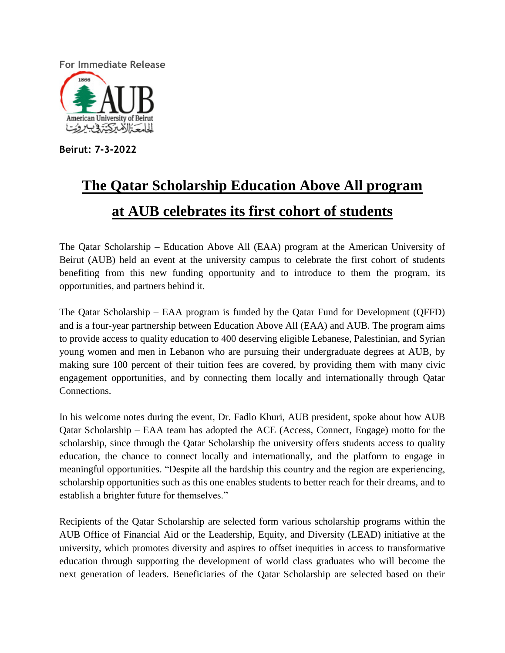**For Immediate Release**



**Beirut: 7-3-2022**

## **The Qatar Scholarship Education Above All program at AUB celebrates its first cohort of students**

The Qatar Scholarship – Education Above All (EAA) program at the American University of Beirut (AUB) held an event at the university campus to celebrate the first cohort of students benefiting from this new funding opportunity and to introduce to them the program, its opportunities, and partners behind it.

The Qatar Scholarship – EAA program is funded by the Qatar Fund for Development (QFFD) and is a four-year partnership between Education Above All (EAA) and AUB. The program aims to provide access to quality education to 400 deserving eligible Lebanese, Palestinian, and Syrian young women and men in Lebanon who are pursuing their undergraduate degrees at AUB, by making sure 100 percent of their tuition fees are covered, by providing them with many civic engagement opportunities, and by connecting them locally and internationally through Qatar Connections.

In his welcome notes during the event, Dr. Fadlo Khuri, AUB president, spoke about how AUB Qatar Scholarship – EAA team has adopted the ACE (Access, Connect, Engage) motto for the scholarship, since through the Qatar Scholarship the university offers students access to quality education, the chance to connect locally and internationally, and the platform to engage in meaningful opportunities. "Despite all the hardship this country and the region are experiencing, scholarship opportunities such as this one enables students to better reach for their dreams, and to establish a brighter future for themselves."

Recipients of the Qatar Scholarship are selected form various scholarship programs within the AUB Office of Financial Aid or the Leadership, Equity, and Diversity (LEAD) initiative at the university, which promotes diversity and aspires to offset inequities in access to transformative education through supporting the development of world class graduates who will become the next generation of leaders. Beneficiaries of the Qatar Scholarship are selected based on their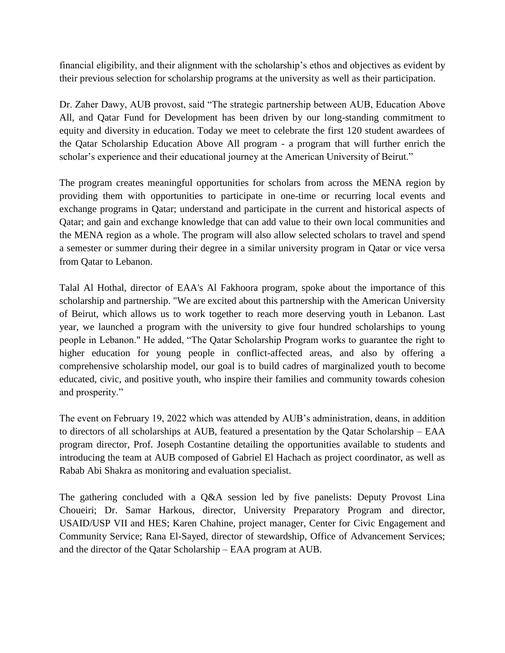financial eligibility, and their alignment with the scholarship's ethos and objectives as evident by their previous selection for scholarship programs at the university as well as their participation.

Dr. Zaher Dawy, AUB provost, said "The strategic partnership between AUB, Education Above All, and Qatar Fund for Development has been driven by our long-standing commitment to equity and diversity in education. Today we meet to celebrate the first 120 student awardees of the Qatar Scholarship Education Above All program - a program that will further enrich the scholar's experience and their educational journey at the American University of Beirut."

The program creates meaningful opportunities for scholars from across the MENA region by providing them with opportunities to participate in one-time or recurring local events and exchange programs in Qatar; understand and participate in the current and historical aspects of Qatar; and gain and exchange knowledge that can add value to their own local communities and the MENA region as a whole. The program will also allow selected scholars to travel and spend a semester or summer during their degree in a similar university program in Qatar or vice versa from Qatar to Lebanon.

Talal Al Hothal, director of EAA's Al Fakhoora program, spoke about the importance of this scholarship and partnership. "We are excited about this partnership with the American University of Beirut, which allows us to work together to reach more deserving youth in Lebanon. Last year, we launched a program with the university to give four hundred scholarships to young people in Lebanon." He added, "The Qatar Scholarship Program works to guarantee the right to higher education for young people in conflict-affected areas, and also by offering a comprehensive scholarship model, our goal is to build cadres of marginalized youth to become educated, civic, and positive youth, who inspire their families and community towards cohesion and prosperity."

The event on February 19, 2022 which was attended by AUB's administration, deans, in addition to directors of all scholarships at AUB, featured a presentation by the Qatar Scholarship – EAA program director, Prof. Joseph Costantine detailing the opportunities available to students and introducing the team at AUB composed of Gabriel El Hachach as project coordinator, as well as Rabab Abi Shakra as monitoring and evaluation specialist.

The gathering concluded with a Q&A session led by five panelists: Deputy Provost Lina Choueiri; Dr. Samar Harkous, director, University Preparatory Program and director, USAID/USP VII and HES; Karen Chahine, project manager, Center for Civic Engagement and Community Service; Rana El-Sayed, director of stewardship, Office of Advancement Services; and the director of the Qatar Scholarship – EAA program at AUB.